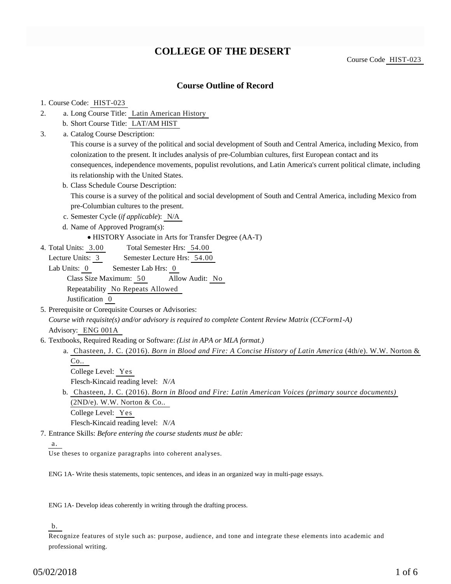# **COLLEGE OF THE DESERT**

Course Code HIST-023

## **Course Outline of Record**

#### 1. Course Code: HIST-023

- a. Long Course Title: Latin American History 2.
	- b. Short Course Title: LAT/AM HIST
- Catalog Course Description: a. 3.

This course is a survey of the political and social development of South and Central America, including Mexico, from colonization to the present. It includes analysis of pre-Columbian cultures, first European contact and its consequences, independence movements, populist revolutions, and Latin America's current political climate, including its relationship with the United States.

b. Class Schedule Course Description:

This course is a survey of the political and social development of South and Central America, including Mexico from pre-Columbian cultures to the present.

- c. Semester Cycle (*if applicable*): N/A
- d. Name of Approved Program(s):
	- HISTORY Associate in Arts for Transfer Degree (AA-T)
- Total Semester Hrs: 54.00 4. Total Units: 3.00

Lecture Units: 3 Semester Lecture Hrs: 54.00

- Lab Units: 0 Semester Lab Hrs: 0 Class Size Maximum: 50 Allow Audit: No Repeatability No Repeats Allowed Justification 0
- 5. Prerequisite or Corequisite Courses or Advisories: *Course with requisite(s) and/or advisory is required to complete Content Review Matrix (CCForm1-A)* Advisory: ENG 001A
- 6. Textbooks, Required Reading or Software: (List in APA or MLA format.)
	- a. Chasteen, J. C. (2016). *Born in Blood and Fire: A Concise History of Latin America* (4th/e). W.W. Norton & Co..
		- College Level: Yes Flesch-Kincaid reading level: *N/A*
	- Chasteen, J. C. (2016). *Born in Blood and Fire: Latin American Voices (primary source documents)* b.  $(2ND/e)$ . W.W. Norton & Co.. College Level: Yes Flesch-Kincaid reading level: *N/A*

Entrance Skills: *Before entering the course students must be able:* 7.

a.

Use theses to organize paragraphs into coherent analyses.

ENG 1A- Write thesis statements, topic sentences, and ideas in an organized way in multi-page essays.

ENG 1A- Develop ideas coherently in writing through the drafting process.

## b.

Recognize features of style such as: purpose, audience, and tone and integrate these elements into academic and professional writing.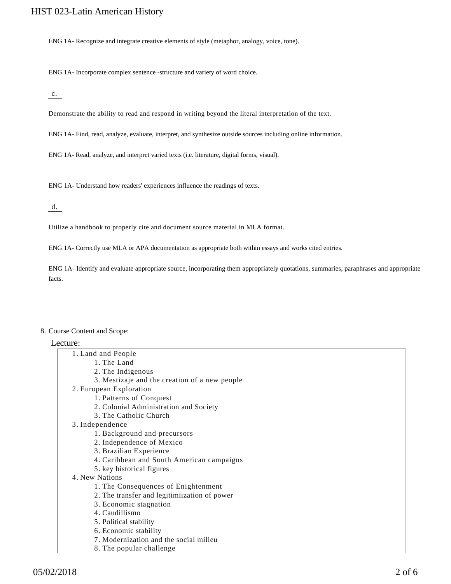ENG 1A- Recognize and integrate creative elements of style (metaphor, analogy, voice, tone).

ENG 1A- Incorporate complex sentence -structure and variety of word choice.

 $c.$ 

Demonstrate the ability to read and respond in writing beyond the literal interpretation of the text.

ENG 1A- Find, read, analyze, evaluate, interpret, and synthesize outside sources including online information.

ENG 1A- Read, analyze, and interpret varied texts (i.e. literature, digital forms, visual).

ENG 1A- Understand how readers' experiences influence the readings of texts.

 $\overline{d}$ .

Utilize a handbook to properly cite and document source material in MLA format.

ENG 1A- Correctly use MLA or APA documentation as appropriate both within essays and works cited entries.

ENG 1A- Identify and evaluate appropriate source, incorporating them appropriately quotations, summaries, paraphrases and appropriate facts.

#### 8. Course Content and Scope:

## Lecture:

| aure.                                         |
|-----------------------------------------------|
| 1. Land and People                            |
| 1. The Land                                   |
| 2. The Indigenous                             |
| 3. Mestizaje and the creation of a new people |
| 2. European Exploration                       |
| 1. Patterns of Conquest                       |
| 2. Colonial Administration and Society        |
| 3. The Catholic Church                        |
| 3. Independence                               |
| 1. Background and precursors                  |
| 2. Independence of Mexico                     |
| 3. Brazilian Experience                       |
| 4. Caribbean and South American campaigns     |
| 5. key historical figures                     |
| 4. New Nations                                |
| 1. The Consequences of Enightenment           |
| 2. The transfer and legitimiization of power  |
| 3. Economic stagnation                        |
| 4. Caudillismo                                |
| 5. Political stability                        |
| 6. Economic stability                         |
| 7. Modernization and the social milieu        |
| 8. The popular challenge                      |
|                                               |
|                                               |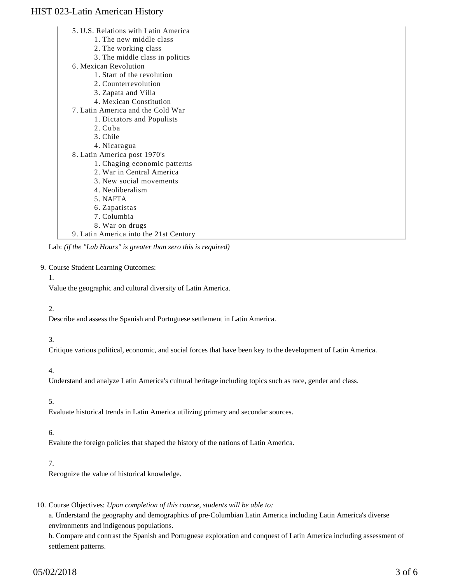5. U.S. Relations with Latin America 1. The new middle class 2. The working class 3. The middle class in politics 6. Mexican Revolution 1. Start of the revolution 2. Counterrevolution 3. Zapata and Villa 4. Mexican Constitution 7. Latin America and the Cold War 1. Dictators and Populists 2. Cuba 3. Chile 4. Nicaragua 8. Latin America post 1970's 1. Chaging economic patterns 2. War in Central America 3. New social movements 4. Neoliberalism 5. NAFTA 6. Zapatistas 7. Columbia 8. War on drugs 9. Latin America into the 21st Century

Lab: *(if the "Lab Hours" is greater than zero this is required)*

#### 9. Course Student Learning Outcomes:

#### 1.

Value the geographic and cultural diversity of Latin America.

#### 2.

Describe and assess the Spanish and Portuguese settlement in Latin America.

#### 3.

Critique various political, economic, and social forces that have been key to the development of Latin America.

#### 4.

Understand and analyze Latin America's cultural heritage including topics such as race, gender and class.

#### 5.

Evaluate historical trends in Latin America utilizing primary and secondar sources.

#### 6.

Evalute the foreign policies that shaped the history of the nations of Latin America.

## 7.

Recognize the value of historical knowledge.

### 10. Course Objectives: Upon completion of this course, students will be able to:

a. Understand the geography and demographics of pre-Columbian Latin America including Latin America's diverse environments and indigenous populations.

b. Compare and contrast the Spanish and Portuguese exploration and conquest of Latin America including assessment of settlement patterns.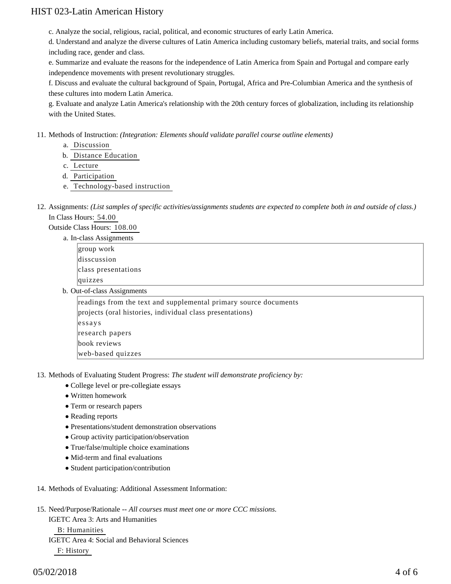c. Analyze the social, religious, racial, political, and economic structures of early Latin America.

d. Understand and analyze the diverse cultures of Latin America including customary beliefs, material traits, and social forms including race, gender and class.

e. Summarize and evaluate the reasons for the independence of Latin America from Spain and Portugal and compare early independence movements with present revolutionary struggles.

f. Discuss and evaluate the cultural background of Spain, Portugal, Africa and Pre-Columbian America and the synthesis of these cultures into modern Latin America.

g. Evaluate and analyze Latin America's relationship with the 20th century forces of globalization, including its relationship with the United States.

11. Methods of Instruction: *(Integration: Elements should validate parallel course outline elements)* 

- a. Discussion
- b. Distance Education
- c. Lecture
- d. Participation
- e. Technology-based instruction
- 12. Assignments: (List samples of specific activities/assignments students are expected to complete both in and outside of class.) In Class Hours: 54.00

Outside Class Hours: 108.00

a. In-class Assignments

group work disscussion class presentations quizzes

b. Out-of-class Assignments

readings from the text and supplemental primary source documents projects (oral histories, individual class presentations) essays research papers book reviews web-based quizzes

13. Methods of Evaluating Student Progress: The student will demonstrate proficiency by:

- College level or pre-collegiate essays
- Written homework
- Term or research papers
- Reading reports
- Presentations/student demonstration observations
- Group activity participation/observation
- True/false/multiple choice examinations
- Mid-term and final evaluations
- Student participation/contribution
- 14. Methods of Evaluating: Additional Assessment Information:

15. Need/Purpose/Rationale -- All courses must meet one or more CCC missions. IGETC Area 3: Arts and Humanities B: Humanities IGETC Area 4: Social and Behavioral Sciences F: History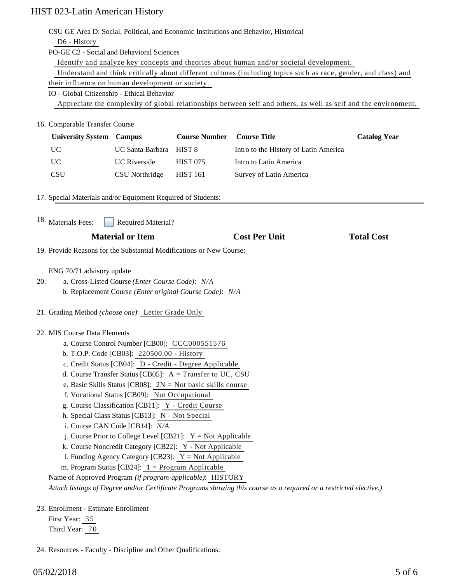|                                                                                                                                                    | CSU GE Area D: Social, Political, and Economic Institutions and Behavior, Historical                            |                                                               |                      |                                                                                                                 |                     |  |                                                                                                                                                                                                                                       |  |  |  |  |  |  |
|----------------------------------------------------------------------------------------------------------------------------------------------------|-----------------------------------------------------------------------------------------------------------------|---------------------------------------------------------------|----------------------|-----------------------------------------------------------------------------------------------------------------|---------------------|--|---------------------------------------------------------------------------------------------------------------------------------------------------------------------------------------------------------------------------------------|--|--|--|--|--|--|
|                                                                                                                                                    | D6 - History                                                                                                    |                                                               |                      |                                                                                                                 |                     |  |                                                                                                                                                                                                                                       |  |  |  |  |  |  |
|                                                                                                                                                    | PO-GE C2 - Social and Behavioral Sciences                                                                       |                                                               |                      |                                                                                                                 |                     |  |                                                                                                                                                                                                                                       |  |  |  |  |  |  |
|                                                                                                                                                    |                                                                                                                 |                                                               |                      | Identify and analyze key concepts and theories about human and/or societal development.                         |                     |  |                                                                                                                                                                                                                                       |  |  |  |  |  |  |
|                                                                                                                                                    |                                                                                                                 |                                                               |                      | Understand and think critically about different cultures (including topics such as race, gender, and class) and |                     |  |                                                                                                                                                                                                                                       |  |  |  |  |  |  |
|                                                                                                                                                    | their influence on human development or society.                                                                |                                                               |                      |                                                                                                                 |                     |  |                                                                                                                                                                                                                                       |  |  |  |  |  |  |
|                                                                                                                                                    | IO - Global Citizenship - Ethical Behavior                                                                      |                                                               |                      |                                                                                                                 |                     |  |                                                                                                                                                                                                                                       |  |  |  |  |  |  |
|                                                                                                                                                    | Appreciate the complexity of global relationships between self and others, as well as self and the environment. |                                                               |                      |                                                                                                                 |                     |  |                                                                                                                                                                                                                                       |  |  |  |  |  |  |
| 16. Comparable Transfer Course                                                                                                                     |                                                                                                                 |                                                               |                      |                                                                                                                 |                     |  |                                                                                                                                                                                                                                       |  |  |  |  |  |  |
|                                                                                                                                                    | <b>University System Campus</b>                                                                                 |                                                               | <b>Course Number</b> | <b>Course Title</b>                                                                                             | <b>Catalog Year</b> |  |                                                                                                                                                                                                                                       |  |  |  |  |  |  |
|                                                                                                                                                    | <b>UC</b>                                                                                                       | UC Santa Barbara                                              | HIST <sub>8</sub>    | Intro to the History of Latin America                                                                           |                     |  |                                                                                                                                                                                                                                       |  |  |  |  |  |  |
|                                                                                                                                                    | <b>UC</b>                                                                                                       | <b>UC</b> Riverside                                           | <b>HIST 075</b>      | Intro to Latin America                                                                                          |                     |  |                                                                                                                                                                                                                                       |  |  |  |  |  |  |
|                                                                                                                                                    | <b>CSU</b>                                                                                                      | <b>CSU</b> Northridge                                         | <b>HIST 161</b>      | Survey of Latin America                                                                                         |                     |  |                                                                                                                                                                                                                                       |  |  |  |  |  |  |
|                                                                                                                                                    |                                                                                                                 |                                                               |                      |                                                                                                                 |                     |  |                                                                                                                                                                                                                                       |  |  |  |  |  |  |
|                                                                                                                                                    | 17. Special Materials and/or Equipment Required of Students:                                                    |                                                               |                      |                                                                                                                 |                     |  |                                                                                                                                                                                                                                       |  |  |  |  |  |  |
|                                                                                                                                                    | <sup>18.</sup> Materials Fees:                                                                                  | <b>Required Material?</b>                                     |                      |                                                                                                                 |                     |  |                                                                                                                                                                                                                                       |  |  |  |  |  |  |
|                                                                                                                                                    |                                                                                                                 |                                                               |                      |                                                                                                                 |                     |  |                                                                                                                                                                                                                                       |  |  |  |  |  |  |
|                                                                                                                                                    |                                                                                                                 | <b>Material or Item</b>                                       |                      | <b>Cost Per Unit</b>                                                                                            | <b>Total Cost</b>   |  |                                                                                                                                                                                                                                       |  |  |  |  |  |  |
|                                                                                                                                                    | 19. Provide Reasons for the Substantial Modifications or New Course:                                            |                                                               |                      |                                                                                                                 |                     |  |                                                                                                                                                                                                                                       |  |  |  |  |  |  |
|                                                                                                                                                    | ENG 70/71 advisory update                                                                                       |                                                               |                      |                                                                                                                 |                     |  |                                                                                                                                                                                                                                       |  |  |  |  |  |  |
| 20.                                                                                                                                                | a. Cross-Listed Course (Enter Course Code): N/A                                                                 |                                                               |                      |                                                                                                                 |                     |  |                                                                                                                                                                                                                                       |  |  |  |  |  |  |
|                                                                                                                                                    | b. Replacement Course (Enter original Course Code): N/A                                                         |                                                               |                      |                                                                                                                 |                     |  |                                                                                                                                                                                                                                       |  |  |  |  |  |  |
|                                                                                                                                                    |                                                                                                                 |                                                               |                      |                                                                                                                 |                     |  |                                                                                                                                                                                                                                       |  |  |  |  |  |  |
|                                                                                                                                                    | 21. Grading Method (choose one): Letter Grade Only                                                              |                                                               |                      |                                                                                                                 |                     |  |                                                                                                                                                                                                                                       |  |  |  |  |  |  |
|                                                                                                                                                    |                                                                                                                 | 22. MIS Course Data Elements                                  |                      |                                                                                                                 |                     |  |                                                                                                                                                                                                                                       |  |  |  |  |  |  |
|                                                                                                                                                    |                                                                                                                 | a. Course Control Number [CB00]: CCC000551576                 |                      |                                                                                                                 |                     |  |                                                                                                                                                                                                                                       |  |  |  |  |  |  |
|                                                                                                                                                    |                                                                                                                 | b. T.O.P. Code [CB03]: 220500.00 - History                    |                      |                                                                                                                 |                     |  |                                                                                                                                                                                                                                       |  |  |  |  |  |  |
|                                                                                                                                                    |                                                                                                                 | c. Credit Status [CB04]: D - Credit - Degree Applicable       |                      |                                                                                                                 |                     |  |                                                                                                                                                                                                                                       |  |  |  |  |  |  |
|                                                                                                                                                    |                                                                                                                 | d. Course Transfer Status [CB05]: A = Transfer to UC, CSU     |                      |                                                                                                                 |                     |  |                                                                                                                                                                                                                                       |  |  |  |  |  |  |
|                                                                                                                                                    |                                                                                                                 | e. Basic Skills Status [CB08]: $2N = Not basic skills course$ |                      |                                                                                                                 |                     |  |                                                                                                                                                                                                                                       |  |  |  |  |  |  |
|                                                                                                                                                    |                                                                                                                 | f. Vocational Status [CB09]: Not Occupational                 |                      |                                                                                                                 |                     |  |                                                                                                                                                                                                                                       |  |  |  |  |  |  |
|                                                                                                                                                    |                                                                                                                 | g. Course Classification [CB11]: Y - Credit Course            |                      |                                                                                                                 |                     |  |                                                                                                                                                                                                                                       |  |  |  |  |  |  |
| h. Special Class Status [CB13]: N - Not Special<br>i. Course CAN Code [CB14]: N/A<br>j. Course Prior to College Level [CB21]: $Y = Not Applicable$ |                                                                                                                 |                                                               |                      |                                                                                                                 |                     |  |                                                                                                                                                                                                                                       |  |  |  |  |  |  |
|                                                                                                                                                    |                                                                                                                 |                                                               |                      |                                                                                                                 |                     |  | k. Course Noncredit Category [CB22]: Y - Not Applicable<br>1. Funding Agency Category [CB23]: $Y = Not$ Applicable                                                                                                                    |  |  |  |  |  |  |
|                                                                                                                                                    |                                                                                                                 |                                                               |                      |                                                                                                                 |                     |  | m. Program Status [CB24]: $1 =$ Program Applicable<br>Name of Approved Program (if program-applicable): HISTORY<br>Attach listings of Degree and/or Certificate Programs showing this course as a required or a restricted elective.) |  |  |  |  |  |  |
|                                                                                                                                                    |                                                                                                                 |                                                               |                      |                                                                                                                 |                     |  |                                                                                                                                                                                                                                       |  |  |  |  |  |  |
|                                                                                                                                                    | 23. Enrollment - Estimate Enrollment                                                                            |                                                               |                      |                                                                                                                 |                     |  |                                                                                                                                                                                                                                       |  |  |  |  |  |  |
|                                                                                                                                                    | First Year: 35                                                                                                  |                                                               |                      |                                                                                                                 |                     |  |                                                                                                                                                                                                                                       |  |  |  |  |  |  |

Third Year:  $\overline{70}$ 

24. Resources - Faculty - Discipline and Other Qualifications: